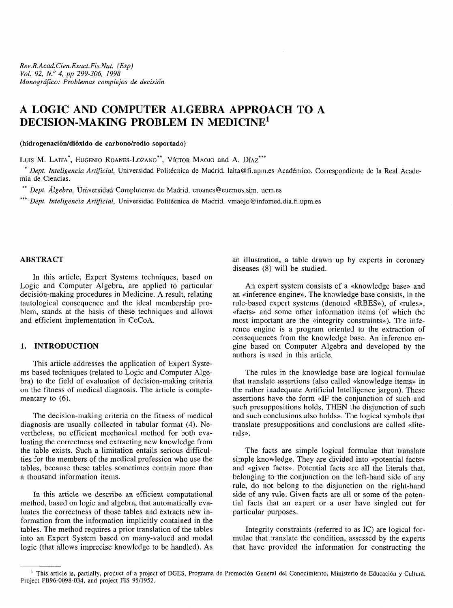# **A LOGIC AND COMPUTER ALGEBRA APPROACH TO A DECISION-MAKING PROBLEM IN MEDICINE<sup>1</sup>**

**(hidrogenación/dióxido de carbono/rodio soportado)**

Luis M. LAITA<sup>\*</sup>, Eugenio Roanes-Lozano<sup>\*\*</sup>, Víctor Maojo and A. Díaz<sup>\*\*\*</sup>

\* *Dept. Inteligencia Artificial,* Universidad Politécnica de Madrid, laita@fi.upm.es Académico. Correspondiente de la Real Academia de Ciencias.

*Dept. Álgebra,* Universidad Complutense de Madrid, eroanes@eucmos.sim. ucm.es

\*\*\* *Dept. Inteligencia Artificial,* Universidad Politécnica de Madrid, vmaojo@infomed.dia.fi.upm.es

# **ABSTRACT**

In this article, Expert Systems techniques, based on Logic and Computer Algebra, are applied to particular decision-making procedures in Medicine. A result, relating tautological consequence and the ideal membership problem, stands at the basis of these techniques and allows and efficient implementation in CoCoA.

# **1. INTRODUCTION**

This article addresses the application of Expert Systems based techniques (related to Logic and Computer Algebra) to the field of evaluation of decision-making criteria on the fitness of medical diagnosis. The article is complementary to  $(6)$ .

The decision-making criteria on the fitness of medical diagnosis are usually collected in tabular format (4). Nevertheless, no efficient mechanical method for both evaluating the correctness and extracting new knowledge from the table exists. Such a limitation entails serious difficulties for the members of the medical profession who use the tables, because these tables sometimes contain more than a thousand information items.

In this article we describe an efficient computational method, based on logic and algebra, that automatically evaluates the correctness of those tables and extracts new information from the information implicitly contained in the tables. The method requires a prior translation of the tables into an Expert System based on many-valued and modal logic (that allows imprecise knowledge to be handled). As an illustration, a table drawn up by experts in coronary diseases (8) will be studied.

An expert system consists of a «knowledge base» and an «inference engine». The knowledge base consists, in the rule-based expert systems (denoted «RBES»), of «rules», «facts» and some other information items (of which the most important are the «integrity constraints»). The inference engine is a program oriented to the extraction of consequences from the knowledge base. An inference engine based on Computer Algebra and developed by the authors is used in this article.

The rules in the knowledge base are logical formulae that translate assertions (also called «knowledge items» in the rather inadequate Artificial Intelligence jargon). These assertions have the form «IF the conjunction of such and such presuppositions holds, THEN the disjunction of such and such conclusions also holds». The logical symbols that translate presuppositions and conclusions are called «literals».

The facts are simple logical formulae that translate simple knowledge. They are divided into «potential facts» and «given facts». Potential facts are all the literals that, belonging to the conjunction on the left-hand side of any rule, do not belong to the disjunction on the right-hand side of any rule. Given facts are all or some of the potential facts that an expert or a user have singled out for particular purposes.

Integrity constraints (referred to as 1C) are logical formulae that translate the condition, assessed by the experts that have provided the information for constructing the

<sup>&</sup>lt;sup>1</sup> This article is, partially, product of a project of DGES, Programa de Promoción General del Conocimiento, Ministerio de Educación y Cultura, Project PB96-0098-034, and project FIS 95/1952.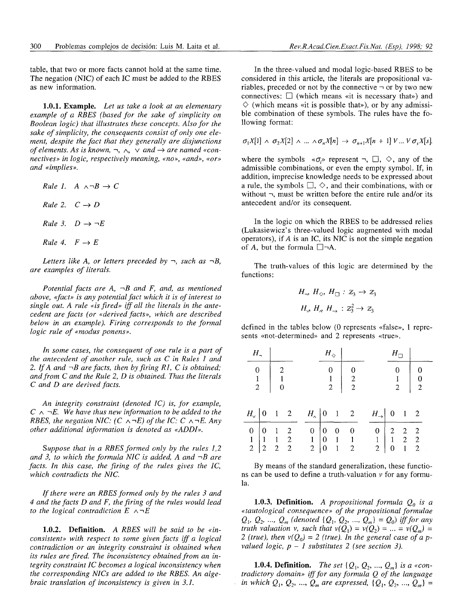table, that two or more facts cannot hold at the same time. The negation (NIC) of each 1C must be added to the RBES as new information.

**1.0.1. Example.** *Let us take a look at an elementary example of a RBES (based for the sake of simplicity on Boolean logic) that illustrates these concepts. Also for the sake of simplicity, the consequents consist of only one element, despite the fact that they generally are disjunctions of elements. As is known,*  $\neg$ ,  $\wedge$ ,  $\vee$  *and*  $\rightarrow$  *are named «connectives» in logic, respectively meaning, «no», «and», «or» and «implies».*

*Rule 1.*  $A \land \neg B \rightarrow C$  $Rule 2. C \rightarrow D$ *Rule 3.*  $D \rightarrow \neg E$ *Rule 4.*  $F \rightarrow E$ 

Letters like A, or letters preceded by  $\neg$ , such as  $\neg B$ , *are examples of literals.*

*Potential facts are A,*  $\neg B$  *and F, and, as mentioned above, «fact» is any potential fact which it is of interest to single out. A rule «is fired» iff all the literals in the antecedent are facts (or «derived facts», which are described below in an example). Firing corresponds to the formal logic rule of «modus ponens».*

*In some cases, the consequent of one rule is a part of the antecedent of another rule, such as C in Rules 1 and* 2. If A and  $\neg B$  are facts, then by firing R1, C is obtained; *and from C and the Rule 2, D is obtained. Thus the literals C and D are derived facts.*

*An integrity constraint (denoted 1C) is, for example,*  $C \wedge \neg E$ . We have thus new information to be added to the *RBES, the negation NIC:*  $(C \land \neg E)$  *of the IC: C*  $\land \neg E$ . Any *other additional information is denoted as «ADDI».*

*Suppose that in a RBES formed only by the rules 1,2* and 3, to which the formula NIC is added, A and  $\neg B$  are *facts. In this case, the firing of the rules gives the 1C, which contradicts the NIC.*

*If there were an RBES formed only by the rules 3 and 4 and the facts D and F, the firing of the rules would lead to the logical contradiction*  $E \land \neg E$ 

**1.0.2. Definition.** *A RBES will be said to be «inconsistent» with respect to some given facts iff a logical contradiction or an integrity constraint is obtained when its rules are fired. The inconsistency obtained from an integrity constraint ¡C becomes a logical inconsistency when the corresponding NICs are added to the RBES. An algebraic translation of inconsistency is given in 3.1.*

In the three-valued and modal logic-based RBES to be considered in this article, the literals are propositional variables, preceded or not by the connective  $\neg$  or by two new connectives:  $\Box$  (which means «it is necessary that») and  $\diamond$  (which means «it is possible that»), or by any admissible combination of these symbols. The rules have the following format:

$$
\sigma_1X[1] \wedge \sigma_2X[2] \wedge \ldots \wedge \sigma_nX[n] \rightarrow \sigma_{n+1}X[n+1]V \ldots V \sigma_sX[s].
$$

where the symbols  $\langle \sigma, \sigma \rangle$  represent  $\neg, \Box, \Diamond$ , any of the admissible combinations, or even the empty symbol. If, in addition, imprecise knowledge needs to be expressed about a rule, the symbols  $\Box$ ,  $\diamond$ , and their combinations, with or without  $\neg$ , must be written before the entire rule and/or its antecedent and/or its consequent.

In the logic on which the RBES to be addressed relies (Lukasiewicz's three-valued logic augmented with modal operators), if  $A$  is an IC, its NIC is not the simple negation of A, but the formula  $\square\neg A$ .

The truth-values of this logic are determined by the functions:

$$
H_{\neg}, H_{\Diamond}, H_{\Box}: \mathbb{Z}_3 \to \mathbb{Z}_3
$$
  

$$
H_{\lor}, H_{\land}, H_{\rightarrow}: \mathbb{Z}_3^2 \to \mathbb{Z}_3
$$

defined in the tables below (0 represents «false», 1 represents «not-determined» and 2 represents «true».

| $H_{\pi}$ |                                                           |  |  | $H_{\diamondsuit}$ |                                                          |                                                                                                                                                                                                                                                                                 | $H_{\Box}$ |                                                          |  |
|-----------|-----------------------------------------------------------|--|--|--------------------|----------------------------------------------------------|---------------------------------------------------------------------------------------------------------------------------------------------------------------------------------------------------------------------------------------------------------------------------------|------------|----------------------------------------------------------|--|
|           | $\begin{array}{c cc} 0 & 2 \\ 1 & 1 \\ 2 & 0 \end{array}$ |  |  |                    | $\begin{array}{c c} 0 & 0 \\ 1 & 2 \\ 2 & 2 \end{array}$ |                                                                                                                                                                                                                                                                                 |            | $\begin{array}{c c} 0 & 0 \\ 1 & 0 \\ 2 & 2 \end{array}$ |  |
|           |                                                           |  |  |                    |                                                          |                                                                                                                                                                                                                                                                                 |            |                                                          |  |
|           |                                                           |  |  |                    |                                                          | $\begin{array}{c cccccc} H_{\vee} & 0 & 1 & 2 & H_{\wedge} & 0 & 1 & 2 & H_{\rightarrow} & 0 & 1 & 2 \\ \hline 0 & 0 & 1 & 2 & 0 & 0 & 0 & 0 & 0 & 2 & 2 & 2 \\ 1 & 1 & 1 & 2 & 1 & 0 & 1 & 1 & 1 & 1 & 1 & 2 & 2 \\ 2 & 2 & 2 & 2 & 2 & 0 & 1 & 2 & 2 & 0 & 1 & 2 \end{array}$ |            |                                                          |  |

By means of the standard generalization, these functions can be used to define a truth-valuation  $\nu$  for any formula.

**1.0.3. Definition.** A propositional formula  $Q_0$  is a *«tautological consequence» of the propositional formulae*  $Q_1, Q_2, ..., Q_m$  (denoted  $\{Q_1, Q_2, ..., Q_m\} = Q_0$ ) iff for any *truth valuation v, such that*  $v(Q_1) = v(Q_2) = ... = v(Q_m) =$ 2 (true), then  $v(Q_0) = 2$  (true). In the general case of a p*valued logic, p - 1 substitutes 2 (see section 3).*

**1.0.4. Definition.** The set  $\{Q_1, Q_2, ..., Q_m\}$  is a «con*tradictory domain» iff for any formula Q of the language in which*  $Q_1, Q_2, ..., Q_m$  are expressed,  $\{Q_1, Q_2, ..., Q_m\} =$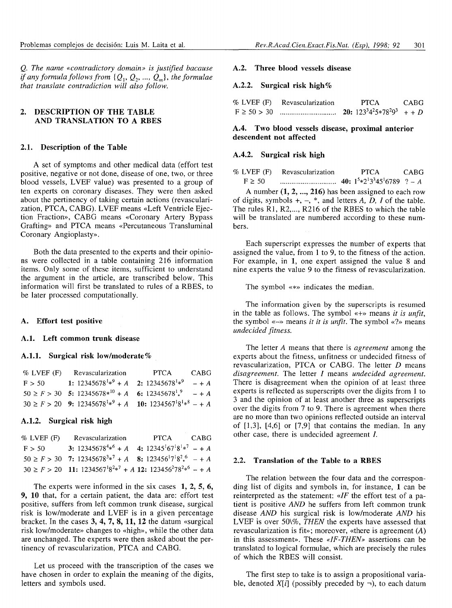*Q. The name «contradictory domain» is justified bacause if any formula follows from*  $\{Q_1, Q_2, ..., Q_m\}$ *, the formulae that translate contradiction will also follow.*

## *2.* **DESCRIPTION OF THE TABLE AND TRANSLATION TO A RBES**

## **2.1. Description of the Table**

A set of symptoms and other medical data (effort test positive, negative or not done, disease of one, two, or three blood vessels, LVEF value) was presented to a group of ten experts on coronary diseases. They were then asked about the pertinency of taking certain actions (revascularization, PTCA, CABG). LVEF means «Left Ventricle Ejection Fraction», CABG means «Coronary Artery Bypass Grafting» and PTCA means «Percutaneous Transluminal Coronary Angioplasty».

Both the data presented to the experts and their opinions were collected in a table containing 216 information items. Only some of these items, sufficient to understand the argument in the article, are transcribed below. This information will first be translated to rules of a RBES, to be later processed computationally.

## **A. Effort test positive**

#### **A.I. Left common trunk disease**

#### **A. 1.1. Surgical risk low/moderate%**

| $%$ LVEF $(F)$ | Revascularization                                                    | PTCA | CARG    |
|----------------|----------------------------------------------------------------------|------|---------|
| F > 50         | 1: $12345678^{1*9} + A$ 2: $12345678^{1*9}$                          |      | $- + A$ |
|                | $50 \ge F > 30$ 5: $12345678*^{10} + A$ 6: $12345678^{19}$           |      | $- + A$ |
|                | $30 \ge F > 20$ 9: $12345678^{1*9} + A$ 10: $1234567^{18^{1*8}} - A$ |      |         |

#### **A. 1.2. Surgical risk high**

| $%$ LVEF $(F)$ | Revascularization                                                             | PTCA CABG |  |
|----------------|-------------------------------------------------------------------------------|-----------|--|
| F > 50         | 3: $12345678^{4*6} + A$ 4: $12345^{1}67^{1}8^{1*7} - A$                       |           |  |
|                | $50 \ge F > 30$ 7: $12345678^{3*} + A$ 8: $123456^{1}7^{1}8^{2}$ + $A$        |           |  |
|                | $30 \ge F > 20$ 11: $1234567^{1}8^{2} * T + A$ 12: $123456^{2}78^{2} * 6 - A$ |           |  |

The experts were informed in the six cases 1, 2, 5, 6, 9, 10 that, for a certain patient, the data are: effort test positive, suffers from left common trunk disease, surgical risk is low/moderate and LVEF is in a given percentage bracket. In the cases 3, 4, 7, 8, 11, **12** the datum «surgical risk low/moderate» changes to «high», while the other data are unchanged. The experts were then asked about the pertinency of revascularization, PTCA and CABG.

Let us proceed with the transcription of the cases we have chosen in order to explain the meaning of the digits, letters and symbols used.

# **A.2. Three blood vessels disease**

## **A.2.2. Surgical risk high%**

| % LVEF (F)      | Revascularization | <b>PTCA</b>                   | CABG |
|-----------------|-------------------|-------------------------------|------|
| $F \ge 50 > 30$ |                   | 20: $123^34^25*78^29^3$ + + D |      |

## **A.4. Two blood vessels disease, proximal anterior descendent not affected**

## **A.4.2. Surgical risk high**

| $%$ LVEF $(F)$ | Revascularization | <b>PTCA</b>                    | CABG. |
|----------------|-------------------|--------------------------------|-------|
| $F \geq 50$    |                   | 40: $1^5*2^13^345^16789$ ? – A |       |

A number  $(1, 2, \ldots, 216)$  has been assigned to each row of digits, symbols  $+$ ,  $-$ ,  $*$ , and letters A,  $\overline{D}$ , I of the table. The rules Rl, R2,..., R216 of the RBES to which the table will be translated are numbered according to these numbers.

Each superscript expresses the number of experts that assigned the value, from 1 to 9, to the fitness of the action. For example, in 1, one expert assigned the value 8 and nine experts the value 9 to the fitness of revascularization.

The symbol «\*» indicates the median.

The information given by the superscripts is resumed in the table as follows. The symbol «+» means *it is unfit,* the symbol «-» means *it it is unfit.* The symbol «?» means *undecided fitness.*

The letter *A* means that there is *agreement* among the experts about the fitness, unfitness or undecided fitness of revascularization, PTCA or CABG. The letter *D* means *disagreement.* The letter / means *undecided agreement.* There is disagreement when the opinion of at least three experts is reflected as superscripts over the digits from 1 to 3 and the opinion of at least another three as superscripts over the digits from 7 to 9. There is agreement when there are no more than two opinions reflected outside an interval of  $[1,3]$ ,  $[4,6]$  or  $[7,9]$  that contains the median. In any other case, there is undecided agreement *I*.

#### **2.2. Translation of the Table to a RBES**

The relation between the four data and the corresponding list of digits and symbols in, for instance, 1 can be reinterpreted as the statement: *«IF* the effort test of a patient is positive *AND* he suffers from left common trunk disease *AND* his surgical risk is low/moderate *AND* his LVEF is over 50\%, *THEN* the experts have assessed that revascularization is fit»; moreover, «there is agreement (A) in this assessment». These *«IF-THEN»* assertions can be translated to logical formulae, which are precisely the rules of which the RBES will consist.

The first step to take is to assign a propositional variable, denoted  $X[i]$  (possibly preceded by  $\neg$ ), to each datum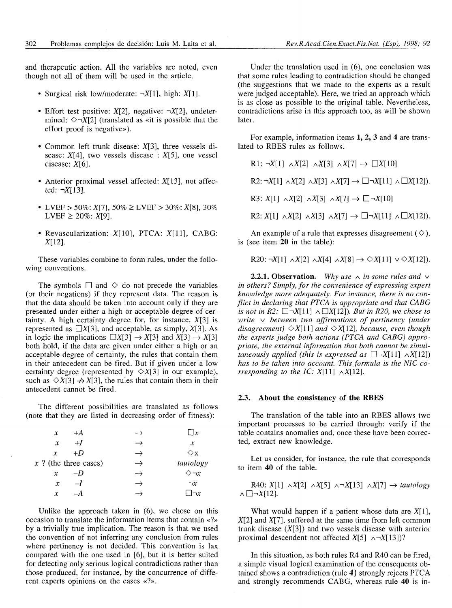and therapeutic action. All the variables are noted, even though not all of them will be used in the article.

- Surgical risk low/moderate:  $\neg X[1]$ , high:  $X[1]$ .
- Effort test positive: *X*[2], negative:  $\neg X[2]$ , undetermined:  $\Diamond \neg X[2]$  (translated as «it is possible that the effort proof is negative»).
- Common left trunk disease: X[3], three vessels disease:  $X[4]$ , two vessels disease :  $X[5]$ , one vessel disease: *X[6].*
- Anterior proximal vessel affected: X[13], not affected: *->X[13].*
- LVEF > 50%:  $X[7]$ , 50%  $\geq$  LVEF > 30%:  $X[8]$ , 30%  $LVEF \ge 20\%$ :  $X[9]$ .
- Revascularization:  $X[10]$ , PTCA:  $X[11]$ , CABG: *X*[12].

These variables combine to form rules, under the following conventions.

The symbols  $\Box$  and  $\diamond$  do not precede the variables (or their negations) if they represent data. The reason is that the data should be taken into account only if they are presented under either a high or acceptable degree of certainty. A high certainty degree for, for instance, X[3] is represented as  $\Box X[3]$ , and acceptable, as simply,  $X[3]$ . As in logic the implications  $\Box X[3] \rightarrow X[3]$  and  $X[3] \rightarrow X[3]$ both hold, if the data are given under either a high or an acceptable degree of certainty, the rules that contain them in their antecedent can be fired. But if given under a low certainty degree (represented by  $\Diamond X[3]$  in our example), such as  $\Diamond X[3] \not\rightarrow X[3]$ , the rules that contain them in their antecedent cannot be fired.

The different possibilities are translated as follows (note that they are listed in decreasing order of fitness):

| $\rightarrow$ | L x               |
|---------------|-------------------|
| $\rightarrow$ | x                 |
| $\rightarrow$ | $\Diamond x$      |
| —→            | tautology         |
| $\rightarrow$ | $\Diamond \neg x$ |
| $\rightarrow$ | $\neg x$          |
| →             | $\mathbf{y}$      |
|               |                   |

Unlike the approach taken in (6), we chose on this occasion to translate the information items that contain «?» by a trivially true implication. The reason is that we used the convention of not inferring any conclusion from rules where pertinency is not decided. This convention is lax compared with the one used in [6], but it is better suited for detecting only serious logical contradictions rather than those produced, for instance, by the concurrence of different experts opinions on the cases «?».

Under the translation used in (6), one conclusion was that some rules leading to contradiction should be changed (the suggestions that we made to the experts as a result were judged acceptable). Here, we tried an approach which is as close as possible to the original table. Nevertheless, contradictions arise in this approach too, as will be shown later.

For example, information items 1, 2, 3 and 4 are translated to RBES rules as follows.

Rl:  $\neg X[1] \land X[2] \land X[3] \land X[7] \rightarrow \Box X[10]$ 

 $R2: \neg X[1] \wedge X[2] \wedge X[3] \wedge X[7] \rightarrow \Box \neg X[11] \wedge \Box X[12]).$ 

R3:  $X[1] \wedge X[2] \wedge X[3] \wedge X[7] \rightarrow \Box \neg X[10]$ 

R2:  $X[1] \wedge X[2] \wedge X[3] \wedge X[7] \rightarrow \Box \neg X[11] \wedge \Box X[12]).$ 

An example of a rule that expresses disagreement ( $\Diamond$ ), is (see item 20 in the table):

R20: $\neg X[1] \wedge X[2] \wedge X[4] \wedge X[8] \rightarrow \Diamond X[11] \vee \Diamond X[12]).$ 

**2.2.1. Observation.** Why use  $\land$  in some rules and  $\lor$ *in others? Simply, for the convenience of expressing expert knowledge more adequately. For instance, there is no conflict in declaring that PTCA is appropriate and that CABG is not in R2:*  $\Box \neg X[11] \wedge \Box X[12]$ *). But in R20, we chose to write* v *between two affirmations of pertinency (under disagreement*)  $\Diamond X[11]$  *and*  $\Diamond X[12]$ *, because, even though the experts judge both actions (PTCA and CABG) appropriate, the external information that both cannot be simultaneously applied (this is expressed as*  $\Box \neg X[11] \land X[12]$ ) *has to be taken into account. This formula is the NIC corresponding to the IC:*  $X[11] \wedge X[12]$ .

#### **2.3. About the consistency of the RBES**

The translation of the table into an RBES allows two important processes to be carried through: verify if the table contains anomalies and, once these have been corrected, extract new knowledge.

Let us consider, for instance, the rule that corresponds to item 40 of the table.

 $R40: X[1] \wedge X[2] \wedge X[5] \wedge \neg X[13] \wedge X[7] \rightarrow \text{tautology}$  $\wedge \Box \neg X$ [12].

What would happen if a patient whose data are  $X[1]$ ,  $X[2]$  and  $X[7]$ , suffered at the same time from left common trunk disease  $(X[3])$  and two vessels disease with anterior proximal descendent not affected  $X[5] \wedge \neg X[13]$ ?

In this situation, as both rules R4 and R40 can be fired, a simple visual logical examination of the consequents obtained shows a contradiction (rule 4} strongly rejects PTCA and strongly recommends CABG, whereas rule 40 is in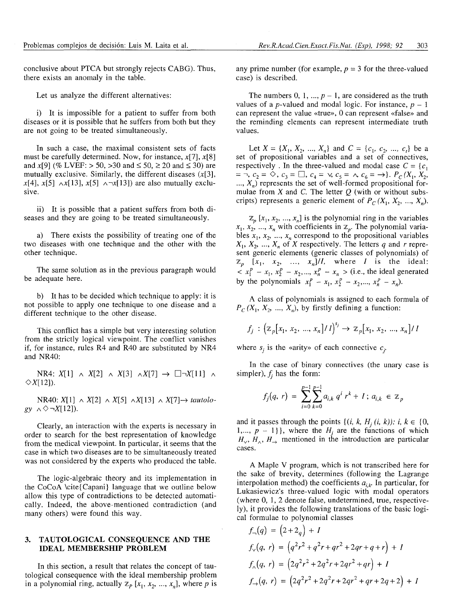conclusive about PTCA but strongly rejects CABG). Thus, there exists an anomaly in the table.

Let us analyze the different alternatives:

i) It is impossible for a patient to suffer from both diseases or it is possible that he suffers from both but they are not going to be treated simultaneously.

In such a case, the maximal consistent sets of facts must be carefully determined. Now, for instance,  $x[7]$ ,  $x[8]$ and  $x[9]$  (% LVEF:  $> 50$ ,  $> 30$  and  $\leq 50$ ,  $\geq 20$  and  $\leq 30$ ) are mutually exclusive. Similarly, the different diseases *(x[3], x*[4], *x*[5]  $\land$ *x*[13], *x*[5]  $\land \neg$ *x*[13]) are also mutually exclusive.

ii) It is possible that a patient suffers from both diseases and they are going to be treated simultaneously.

a) There exists the possibility of treating one of the two diseases with one technique and the other with the other technique.

The same solution as in the previous paragraph would be adequate here.

b) It has to be decided which technique to apply: it is not possible to apply one technique to one disease and a different technique to the other disease.

This conflict has a simple but very interesting solution from the strictly logical viewpoint. The conflict vanishes if, for instance, rules R4 and R40 are substituted by NR4 and NR40:

 $NR4: X[1] \wedge X[2] \wedge X[3] \wedge X[7] \rightarrow \Box \neg X[11] \wedge$  $\Diamond X[12]$ ).

 $NR40: X[1] \wedge X[2] \wedge X[5] \wedge X[13] \wedge X[7] \rightarrow \text{tautolo-}$  $gy \land \Diamond \neg X[12]$ ).

Clearly, an interaction with the experts is necessary in order to search for the best representation of knowledge from the medical viewpoint. In particular, it seems that the case in which two diseases are to be simultaneously treated was not considered by the experts who produced the table.

The logic-algebraic theory and its implementation in the CoCoA \cite{Capani} language that we outline below allow this type of contradictions to be detected automatically. Indeed, the above-mentioned contradiction (and many others) were found this way.

## **3. TAUTOLOGICAL CONSEQUENCE AND THE IDEAL MEMBERSHIP PROBLEM**

In this section, a result that relates the concept of tautological consequence with the ideal membership problem in a polynomial ring, actually  $\mathbb{Z}_p$  [ $x_1$ ,  $x_2$ , ...,  $x_n$ ], where p is

any prime number (for example,  $p = 3$  for the three-valued case) is described.

The numbers 0, 1, ...,  $p-1$ , are considered as the truth values of a *p*-valued and modal logic. For instance,  $p - 1$ can represent the value «true», 0 can represent «false» and the reminding elements can represent intermediate truth values.

Let  $X = \{X_1, X_2, ..., X_n\}$  and  $C = \{c_1, c_2, ..., c_t\}$  be a set of propositional variables and a set of connectives, respectively . In the three-valued and modal case  $C = \{c_1\}$  $= \neg, c_2 = \Diamond, c_3 = \Box, c_4 = \lor, c_5 = \land, c_6 = \rightarrow$ .  $P_C(X_1, X_2)$  $..., X_n$ ) represents the set of well-formed propositional formulae from X and *C.* The letter *Q* (with or without subscripts) represents a generic element of  $P_c(X_1, X_2, ..., X_n)$ .

 $Z_p$  [ $x_1, x_2, ..., x_n$ ] is the polynomial ring in the variables  $x_1, x_2, \ldots, x_n$  with coefficients in  $\mathbb{Z}_p$ . The polynomial variables  $x_1, x_2, \ldots, x_n$  correspond to the propositional variables  $X_1, X_2, \ldots, X_n$  of X respectively. The letters q and r represent generic elements (generic classes of polynomials) of  $Z_p$  [ $x_1$ ,  $x_2$ , ...,  $x_n$ ]/*I*, where *I* is the ideal:  $x_1^p - x_1, x_2^p - x_2, ..., x_n^p - x_n >$  (i.e., the ideal generated by the polynomials  $x_1^p - x_1, x_2^p - x_2, ..., x_n^p - x_n$ ).

A class of polynomials is assigned to each formula of  $P_c(X_1, X_2, ..., X_n)$ , by firstly defining a function:

$$
f_j : (z_p[x_1, x_2, ..., x_n]/I)^{s_j} \to z_p[x_1, x_2, ..., x_n]/I
$$

where  $s_i$  is the «arity» of each connective  $c_i$ .

In the case of binary connectives (the unary case is simpler),  $f_i$  has the form:

$$
f_j(q, r) = \sum_{i=0}^{p-1} \sum_{k=0}^{p-1} a_{i,k} q^i r^k + I; a_{i,k} \in \mathbb{Z}_p
$$

and it passes through the points  $\{(i, k, H, (i, k))\colon i, k \in \{0, \ldots, n\}$ 1,...,  $p - 1$ }, where the  $H_i$  are the functions of which  $H_v$ ,  $H_A$ ,  $H_{\rightarrow}$  mentioned in the introduction are particular cases.

A Maple V program, which is not transcribed here for the sake of brevity, determines (following the Lagrange interpolation method) the coefficients  $a_{i,k}$ . In particular, for Lukasiewicz's three-valued logic with modal operators (where 0, 1, 2 denote false, undetermined, true, respectively), it provides the following translations of the basic logical formulae to polynomial classes

$$
f_{-}(q) = (2 + 2q) + I
$$
  
\n
$$
f_{\vee}(q, r) = (q^{2}r^{2} + q^{2}r + qr^{2} + 2qr + q + r) + I
$$
  
\n
$$
f_{\wedge}(q, r) = (2q^{2}r^{2} + 2q^{2}r + 2qr^{2} + qr) + I
$$
  
\n
$$
f_{\rightarrow}(q, r) = (2q^{2}r^{2} + 2q^{2}r + 2qr^{2} + qr + 2q + 2) + I
$$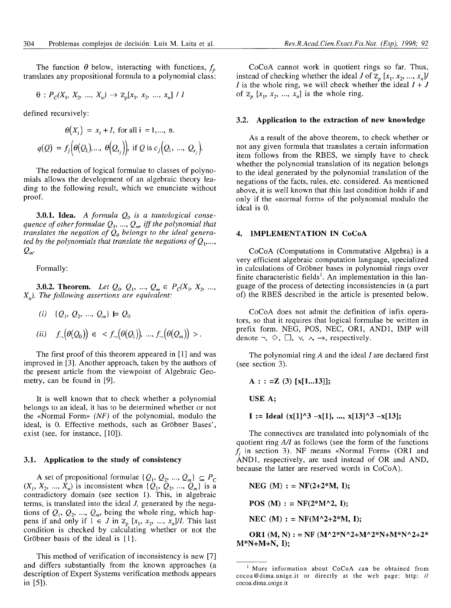The function  $\theta$  below, interacting with functions,  $f<sub>p</sub>$ translates any prepositional formula to a polynomial class:

$$
\theta: P_C(X_1, X_2, ..., X_n) \to \mathbb{Z}_p[x_1, x_2, ..., x_n] / I
$$

defined recursively:

$$
\theta(X_i) = x_i + I, \text{ for all } i = 1,..., n.
$$
  

$$
q(Q) = f_j \Big( \theta(Q_1), ..., \theta(Q_{s_j}) \Big), \text{ if } Q \text{ is } c_j \Big( Q_1, ..., Q_{s_j} \Big).
$$

The reduction of logical formulae to classes of polynomials allows the development of an algebraic theory leading to the following result, which we enunciate without proof.

**3.0.1. Idea.** A *formula Q0 is a tautological consequence of other formulae Q<sup>t</sup> ,..., Qm, iff the polynomial that translates the negation of Q0 belongs to the ideal generated by the polynomials that translate the negations of*  $Q_1$ ,..., *Q,n-*

Formally:

**3.0.2. Theorem.** Let  $Q_0$ ,  $Q_1$ , ...,  $Q_m \in P_c(X_1, X_2, \ldots,$ *Xn). The following assertions are equivalent:*

(i) 
$$
\{Q_1, Q_2, ..., Q_m\} \models Q_0
$$
  
(ii)  $f_{-}(\theta(Q_0)) \in < f_{-}(\theta(Q_1)), ..., f_{-}(\theta(Q_m))$ 

The first proof of this theorem appeared in [1] and was improved in [3]. Another approach, taken by the authors of the present article from the viewpoint of Algebraic Geometry, can be found in [9].

It is well known that to check whether a polynomial belongs to an ideal, it has to be determined whether or not the «Normal Form» *(NF)* of the polynomial, modulo the ideal, is 0. Effective methods, such as Gröbner Bases', exist (see, for instance, [10]).

#### **3.1. Application to the study of consistency**

A set of propositional formulae  $\{Q_1, Q_2, ..., Q_m\} \subseteq P_c$  $(X_1, X_2, ..., X_n)$  is inconsistent when  $\{Q_1, Q_2, ..., Q_m\}$  is a contradictory domain (see section 1). This, in algebraic terms, is translated into the ideal *J,* generated by the negations of  $Q_1, Q_2, ..., Q_m$ , being the whole ring, which happens if and only if  $1 \in J$  in  $\mathbb{Z}_p$   $[x_1, x_2, ..., x_n]/I$ . This last condition is checked by calculating whether or not the Gröbner basis of the ideal is {1}.

This method of verification of inconsistency is new [7] and differs substantially from the known approaches (a description of Expert Systems verification methods appears in [5]).

CoCoA cannot work in quotient rings so far. Thus, instead of checking whether the ideal *J* of  $\mathbb{Z}_p$  [ $x_1, x_2, ..., x_n$ ]/ *I* is the whole ring, we will check whether the ideal  $I + J$ of  $\mathbb{Z}_p$  [ $x_1$ ,  $x_2$ , ...,  $x_n$ ] is the whole ring.

#### **3.2. Application to the extraction of new knowledge**

As a result of the above theorem, to check whether or not any given formula that translates a certain information item follows from the RBES, we simply have to check whether the polynomial translation of its negation belongs to the ideal generated by the polynomial translation of the negations of the facts, rules, etc. considered. As mentioned above, it is well known that this last condition holds if and only if the «normal form» of the polynomial modulo the ideal is 0.

## **4. IMPLEMENTATION IN CoCoA**

CoCoA (Computations in Commutative Algebra) is a very efficient algebraic computation language, specialized in calculations of Gröbner bases in polynomial rings over finite characteristic fields'. An implementation in this language of the process of detecting inconsistencies in (a part of) the RBES described in the article is presented below.

CoCoA does not admit the definition of infix operators, so that it requires that logical formulae be written in prefix form. NEC, POS, NEC, ORI, ANDI, IMP will denote  $\neg$ ,  $\Diamond$ ,  $\Box$ ,  $\vee$ ,  $\wedge$ ,  $\rightarrow$ , respectively.

The polynomial ring *A* and the ideal *I* are declared first (see section 3).

$$
A :: =Z (3) [x[1...13]];
$$

USE A;

 $I := \text{Ideal } (x[1]^{\wedge}3 - x[1], ..., x[13]^{\wedge}3 - x[13];$ 

The connectives are translated into polynomials of the quotient ring *A/I* as follows (see the form of the functions  $\overline{f}_i$  in section 3). NF means «Normal Form» (OR1 and ANDI, respectively, are used instead of OR and AND, because the latter are reserved words in CoCoA).

 $NEG (M) := NF(2+2*M, I);$ 

POS (M) : =  $NF(2*M^2, 1);$ 

 $NEC (M)$  : = NF(M^2+2\*M, I);

OR1 (M, N) : = NF (M^2\*N^2+M^2\*N+M\*N^2+2\*  $M*N+M+N, I);$ 

<sup>&</sup>lt;sup>1</sup> More information about CoCoA can be obtained from cocoa@dima.unige.it or directly at the web page: http: // cocoa.dima.unige.it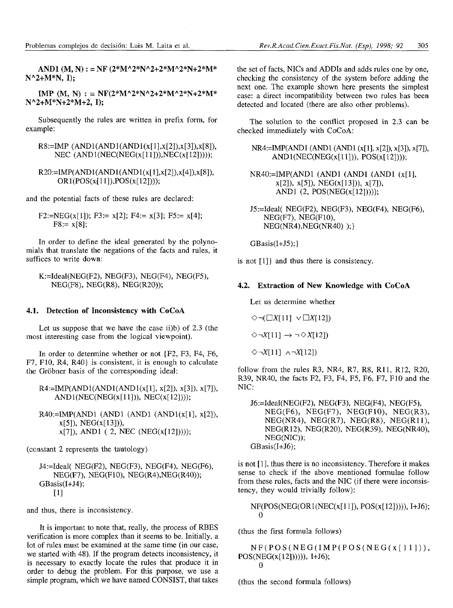AND1 (M, N) : = NF ( $2^*M^2^*N^2+2^*M^2^*N+2^*M^*$ N A 2+M\*N, I);

 $IMP (M, N) := NF(2*M^2*N^2+2*M^2*N^2*N+2*M*$ N A 2+M\*N+2\*M+2, **I);**

Subsequently the rules are written in prefix form, for example:

R8:=IMP (AND1(AND1(AND1(x[1],x[2]),x[3]),x[8]), NEC  $(AND1(NEC(NEG(x[11])),NEC(x[12]))));$ 

 $R20:=IMP(AND1(AND1(AND1(x[1],x[2]),x[4]),x[8]),$  $OR1(POS(x[11]), POS(x[12]))$ ;

and the potential facts of these rules are declared:

F2:=NEG(x[l]); F3:= x[2]; F4:= x[3]; F5:= x[4]; F8:= x[8];

In order to define the ideal generated by the polynomials that translate the negations of the facts and rules, it suffices to write down:

 $K:=$ Ideal(NEG(F2), NEG(F3), NEG(F4), NEG(F5), NEG(F8), NEG(R8), NEG(R20));

#### **4.1. Detection of Inconsistency with CoCoA**

Let us suppose that we have the case ii)b) of 2.3 (the most interesting case from the logical viewpoint).

In order to determine whether or not {F2, F3, F4, F6, F7, FIO, R4, R4Û} is consistent, it is enough to calculate the Gröbner basis of the corresponding ideal:

 $R4:=IMP(AND1(AND1(AND1(x[1], x[2]), x[3]), x[7]),$ AND1(NEC(NEG( $x[11]$ )), NEC( $x[12]$ )));

 $R40:=IMP(AND1 (AND1 (AND1 (AND1(x[1], x[2]),$  $x[5]$ , NEG( $x[13]$ ), x[7]), ANDI ( 2, NEC (NEG(x[12]))));

(constant 2 represents the tautology)

 $J4:=$ Ideal( NEG(F2), NEG(F3), NEG(F4), NEG(F6), NEG(F7), NEG(FIO), NEG(R4),NEG(R40)); GBasis(I+J4);  $[1]$ 

and thus, there is inconsistency.

It is important to note that, really, the process of RBES verification is more complex than it seems to be. Initially, a lot of rules must be examined at the same time (in our case, we started with 48). If the program detects inconsistency, it is necessary to exactly locate the rules that produce it in order to debug the problem. For this purpose, we use a simple program, which we have named CONSIST, that takes

the set of facts, NICs and ADDIs and adds rules one by one, checking the consistency of the system before adding the next one. The example shown here presents the simplest case: a direct incompatibility between two rules has been detected and located (there are also other problems).

The solution to the conflict proposed in 2.3 can be checked immediately with CoCoA:

NR4:=IMP(AND1 (ANDI (ANDI (x[l],x[2]),x[3]),x[7]), AND1(NEC(NEG( $x[11]$ )), POS( $x[12]$ )));

- NR40:=IMP(AND1 (ANDI (ANDI (ANDI (x[l],  $x[2]$ ,  $x[5]$ , NEG( $x[13]$ ),  $x[7]$ , ANDI (2, POS(NEG(x[12]))));
- $J5:=$ Ideal( NEG(F2), NEG(F3), NEG(F4), NEG(F6), NEG(F7), NEG(FIO), NEG(NR4),NEG(NR40) );}

 $GBasis(I+J5);$ 

is not [1]} and thus there is consistency.

## **4.2. Extraction of New Knowledge with CoCoA**

Let us determine whether

 $\Diamond \neg (\Box X[11] \lor \Box X[12])$ 

 $\Diamond \neg X[11] \rightarrow \neg \Diamond X[12])$ 

 $\Diamond \neg X[11] \land \neg X[12]$ 

follow from the rules R3, NR4, R7, R8, RII, R12, R20, R39, NR40, the facts F2, F3, F4, F5, F6, F7, FIO and the NIC:

J6:=Ideal(NEG(F2), NEG(F3), NEG(F4), NEG(F5), NEG(F6), NEG(F7), NEG(FIO), NEG(R3),  $NEG(NR4), NEG(R7), NEG(R8), NEG(R11),$ NEG(R12), NEG(R20), NEG(R39), NEG(NR40),  $NEG(NIC));$ GBasis(I+J6);

is not [1], thus there is no inconsistency. Therefore it makes sense to check if the above mentioned formulae follow from these rules, facts and the NIC (if there were inconsistency, they would trivially follow):

```
NF(POS(NEG(ORl(NEC(x[l 1]), POS(x[12])))), I+J6);
\theta
```
(thus the first formula follows)

 $NF(POS(NEG(IMP(POS(NEG(x[11)])),$ POS(NEG(x[12]))))), I+J6); 0

(thus the second formula follows)